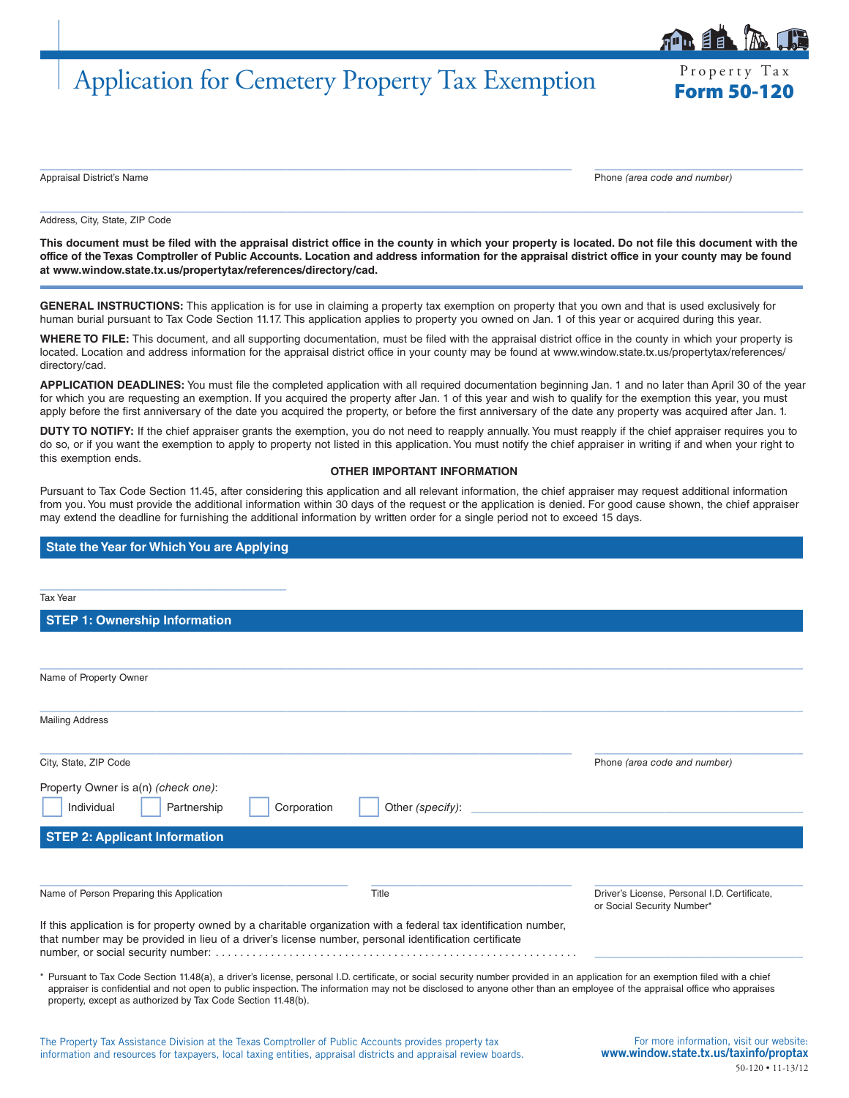## Application for Cemetery Property Tax Exemption

Property Tax

 $\_$  , and the set of the set of the set of the set of the set of the set of the set of the set of the set of the set of the set of the set of the set of the set of the set of the set of the set of the set of the set of th Appraisal District's Name Phone *(area code and number)*

## Address, City, State, ZIP Code

**This document must be filed with the appraisal district office in the county in which your property is located. Do not file this document with the office of the Texas Comptroller of Public Accounts. Location and address information for the appraisal district office in your county may be found at www.window.state.tx.us/propertytax/references/directory/cad.**

 $\_$  , and the set of the set of the set of the set of the set of the set of the set of the set of the set of the set of the set of the set of the set of the set of the set of the set of the set of the set of the set of th

**GENERAL INSTRUCTIONS:** This application is for use in claiming a property tax exemption on property that you own and that is used exclusively for human burial pursuant to Tax Code Section 11.17. This application applies to property you owned on Jan. 1 of this year or acquired during this year.

**WHERE TO FILE:** This document, and all supporting documentation, must be filed with the appraisal district office in the county in which your property is located. Location and address information for the appraisal district office in your county may be found at www.window.state.tx.us/propertytax/references/ directory/cad.

**APPLICATION DEADLINES:** You must file the completed application with all required documentation beginning Jan. 1 and no later than April 30 of the year for which you are requesting an exemption. If you acquired the property after Jan. 1 of this year and wish to qualify for the exemption this year, you must apply before the first anniversary of the date you acquired the property, or before the first anniversary of the date any property was acquired after Jan. 1.

**DUTY TO NOTIFY:** If the chief appraiser grants the exemption, you do not need to reapply annually. You must reapply if the chief appraiser requires you to do so, or if you want the exemption to apply to property not listed in this application. You must notify the chief appraiser in writing if and when your right to this exemption ends.

## **OTHER IMPORTANT INFORMATION**

Pursuant to Tax Code Section 11.45, after considering this application and all relevant information, the chief appraiser may request additional information from you. You must provide the additional information within 30 days of the request or the application is denied. For good cause shown, the chief appraiser may extend the deadline for furnishing the additional information by written order for a single period not to exceed 15 days.

## **State the Year for Which You are Applying**

| Tax Year                                                                                                                                                                                                                                                                                                                                                                                                                     |                                 |                                                                            |
|------------------------------------------------------------------------------------------------------------------------------------------------------------------------------------------------------------------------------------------------------------------------------------------------------------------------------------------------------------------------------------------------------------------------------|---------------------------------|----------------------------------------------------------------------------|
| <b>STEP 1: Ownership Information</b>                                                                                                                                                                                                                                                                                                                                                                                         |                                 |                                                                            |
|                                                                                                                                                                                                                                                                                                                                                                                                                              |                                 |                                                                            |
| Name of Property Owner                                                                                                                                                                                                                                                                                                                                                                                                       |                                 |                                                                            |
| <b>Mailing Address</b>                                                                                                                                                                                                                                                                                                                                                                                                       |                                 |                                                                            |
| City, State, ZIP Code                                                                                                                                                                                                                                                                                                                                                                                                        |                                 | Phone (area code and number)                                               |
| Property Owner is a(n) (check one):<br>Individual<br>Partnership                                                                                                                                                                                                                                                                                                                                                             | Corporation<br>Other (specify): |                                                                            |
| <b>STEP 2: Applicant Information</b>                                                                                                                                                                                                                                                                                                                                                                                         |                                 |                                                                            |
| Name of Person Preparing this Application                                                                                                                                                                                                                                                                                                                                                                                    | Title                           | Driver's License, Personal I.D. Certificate,<br>or Social Security Number* |
| If this application is for property owned by a charitable organization with a federal tax identification number,<br>that number may be provided in lieu of a driver's license number, personal identification certificate                                                                                                                                                                                                    |                                 |                                                                            |
| * Pursuant to Tax Code Section 11.48(a), a driver's license, personal I.D. certificate, or social security number provided in an application for an exemption filed with a chief<br>appraiser is confidential and not open to public inspection. The information may not be disclosed to anyone other than an employee of the appraisal office who appraises<br>property, except as authorized by Tax Code Section 11.48(b). |                                 |                                                                            |
| The Property Tax Assistance Division at the Texas Comptroller of Public Accounts provides property tax                                                                                                                                                                                                                                                                                                                       |                                 | For more information, visit our website:                                   |

information and resources for taxpayers, local taxing entities, appraisal districts and appraisal review boards.